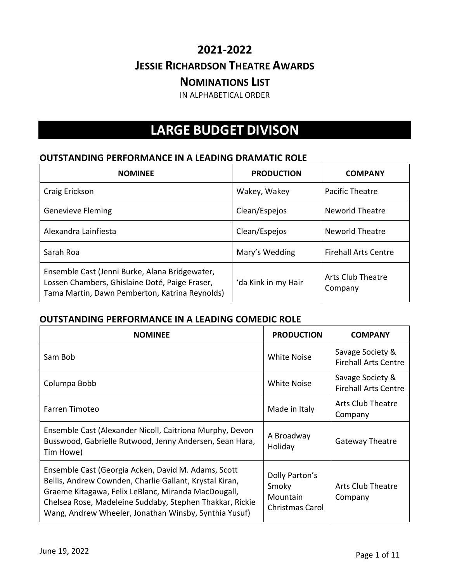IN ALPHABETICAL ORDER

# **LARGE BUDGET DIVISON**

#### **OUTSTANDING PERFORMANCE IN A LEADING DRAMATIC ROLE**

| <b>NOMINEE</b>                                                                                                                                     | <b>PRODUCTION</b>   | <b>COMPANY</b>               |
|----------------------------------------------------------------------------------------------------------------------------------------------------|---------------------|------------------------------|
| Craig Erickson                                                                                                                                     | Wakey, Wakey        | Pacific Theatre              |
| <b>Genevieve Fleming</b>                                                                                                                           | Clean/Espejos       | <b>Neworld Theatre</b>       |
| Alexandra Lainfiesta                                                                                                                               | Clean/Espejos       | Neworld Theatre              |
| Sarah Roa                                                                                                                                          | Mary's Wedding      | <b>Firehall Arts Centre</b>  |
| Ensemble Cast (Jenni Burke, Alana Bridgewater,<br>Lossen Chambers, Ghislaine Doté, Paige Fraser,<br>Tama Martin, Dawn Pemberton, Katrina Reynolds) | 'da Kink in my Hair | Arts Club Theatre<br>Company |

#### **OUTSTANDING PERFORMANCE IN A LEADING COMEDIC ROLE**

| <b>NOMINEE</b>                                                                                                                                                                                                                                                                             | <b>PRODUCTION</b>                                             | <b>COMPANY</b>                                  |
|--------------------------------------------------------------------------------------------------------------------------------------------------------------------------------------------------------------------------------------------------------------------------------------------|---------------------------------------------------------------|-------------------------------------------------|
| Sam Bob                                                                                                                                                                                                                                                                                    | <b>White Noise</b>                                            | Savage Society &<br><b>Firehall Arts Centre</b> |
| Columpa Bobb                                                                                                                                                                                                                                                                               | <b>White Noise</b>                                            | Savage Society &<br><b>Firehall Arts Centre</b> |
| Farren Timoteo                                                                                                                                                                                                                                                                             | Made in Italy                                                 | Arts Club Theatre<br>Company                    |
| Ensemble Cast (Alexander Nicoll, Caitriona Murphy, Devon<br>Busswood, Gabrielle Rutwood, Jenny Andersen, Sean Hara,<br>Tim Howe)                                                                                                                                                           | A Broadway<br>Holiday                                         | <b>Gateway Theatre</b>                          |
| Ensemble Cast (Georgia Acken, David M. Adams, Scott<br>Bellis, Andrew Cownden, Charlie Gallant, Krystal Kiran,<br>Graeme Kitagawa, Felix LeBlanc, Miranda MacDougall,<br>Chelsea Rose, Madeleine Suddaby, Stephen Thakkar, Rickie<br>Wang, Andrew Wheeler, Jonathan Winsby, Synthia Yusuf) | Dolly Parton's<br>Smoky<br>Mountain<br><b>Christmas Carol</b> | Arts Club Theatre<br>Company                    |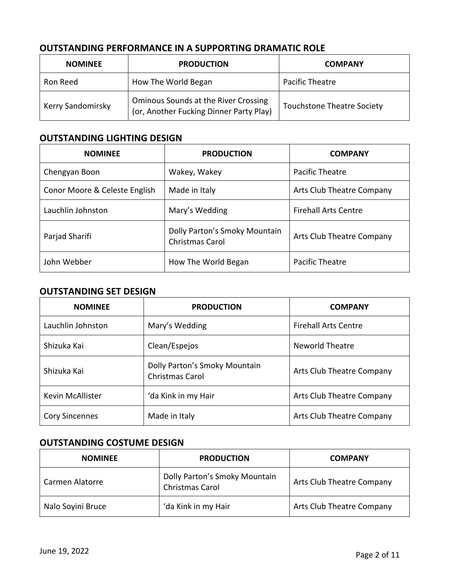#### **OUTSTANDING PERFORMANCE IN A SUPPORTING DRAMATIC ROLE**

| <b>NOMINEE</b>           | <b>PRODUCTION</b>                                                                      | <b>COMPANY</b>                    |
|--------------------------|----------------------------------------------------------------------------------------|-----------------------------------|
| Ron Reed                 | How The World Began                                                                    | Pacific Theatre                   |
| <b>Kerry Sandomirsky</b> | <b>Ominous Sounds at the River Crossing</b><br>(or, Another Fucking Dinner Party Play) | <b>Touchstone Theatre Society</b> |

#### **OUTSTANDING LIGHTING DESIGN**

| <b>NOMINEE</b>                | <b>PRODUCTION</b>                                       | <b>COMPANY</b>              |
|-------------------------------|---------------------------------------------------------|-----------------------------|
| Chengyan Boon                 | Wakey, Wakey                                            | Pacific Theatre             |
| Conor Moore & Celeste English | Made in Italy                                           | Arts Club Theatre Company   |
| Lauchlin Johnston             | Mary's Wedding                                          | <b>Firehall Arts Centre</b> |
| Parjad Sharifi                | Dolly Parton's Smoky Mountain<br><b>Christmas Carol</b> | Arts Club Theatre Company   |
| John Webber                   | How The World Began                                     | Pacific Theatre             |

#### **OUTSTANDING SET DESIGN**

| <b>NOMINEE</b>        | <b>PRODUCTION</b>                                       | <b>COMPANY</b>              |
|-----------------------|---------------------------------------------------------|-----------------------------|
| Lauchlin Johnston     | Mary's Wedding                                          | <b>Firehall Arts Centre</b> |
| Shizuka Kai           | Clean/Espejos                                           | <b>Neworld Theatre</b>      |
| Shizuka Kai           | Dolly Parton's Smoky Mountain<br><b>Christmas Carol</b> | Arts Club Theatre Company   |
| Kevin McAllister      | 'da Kink in my Hair                                     | Arts Club Theatre Company   |
| <b>Cory Sincennes</b> | Made in Italy                                           | Arts Club Theatre Company   |

#### **OUTSTANDING COSTUME DESIGN**

| <b>NOMINEE</b>    | <b>PRODUCTION</b>                                | <b>COMPANY</b>            |
|-------------------|--------------------------------------------------|---------------------------|
| Carmen Alatorre   | Dolly Parton's Smoky Mountain<br>Christmas Carol | Arts Club Theatre Company |
| Nalo Soyini Bruce | 'da Kink in my Hair                              | Arts Club Theatre Company |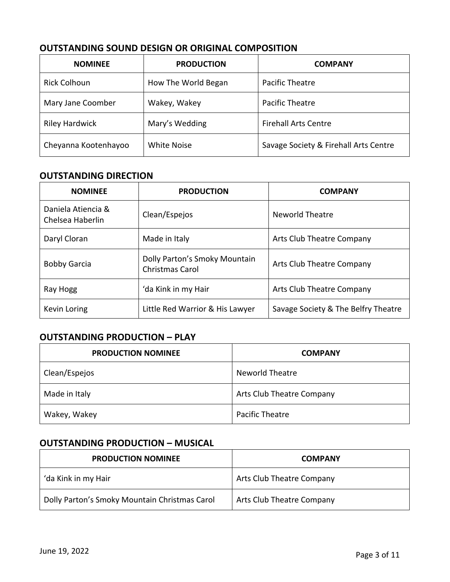| <b>NOMINEE</b>        | <b>PRODUCTION</b>   | <b>COMPANY</b>                        |
|-----------------------|---------------------|---------------------------------------|
| <b>Rick Colhoun</b>   | How The World Began | <b>Pacific Theatre</b>                |
| Mary Jane Coomber     | Wakey, Wakey        | <b>Pacific Theatre</b>                |
| <b>Riley Hardwick</b> | Mary's Wedding      | <b>Firehall Arts Centre</b>           |
| Cheyanna Kootenhayoo  | <b>White Noise</b>  | Savage Society & Firehall Arts Centre |

#### **OUTSTANDING SOUND DESIGN OR ORIGINAL COMPOSITION**

#### **OUTSTANDING DIRECTION**

| <b>NOMINEE</b>                         | <b>PRODUCTION</b>                                       | <b>COMPANY</b>                      |
|----------------------------------------|---------------------------------------------------------|-------------------------------------|
| Daniela Atiencia &<br>Chelsea Haberlin | Clean/Espejos                                           | Neworld Theatre                     |
| Daryl Cloran                           | Made in Italy                                           | Arts Club Theatre Company           |
| <b>Bobby Garcia</b>                    | Dolly Parton's Smoky Mountain<br><b>Christmas Carol</b> | Arts Club Theatre Company           |
| Ray Hogg                               | 'da Kink in my Hair                                     | Arts Club Theatre Company           |
| Kevin Loring                           | Little Red Warrior & His Lawyer                         | Savage Society & The Belfry Theatre |

#### **OUTSTANDING PRODUCTION – PLAY**

| <b>PRODUCTION NOMINEE</b> | <b>COMPANY</b>            |
|---------------------------|---------------------------|
| Clean/Espejos             | <b>Neworld Theatre</b>    |
| Made in Italy             | Arts Club Theatre Company |
| Wakey, Wakey              | Pacific Theatre           |

#### **OUTSTANDING PRODUCTION – MUSICAL**

| <b>PRODUCTION NOMINEE</b>                     | <b>COMPANY</b>            |
|-----------------------------------------------|---------------------------|
| 'da Kink in my Hair                           | Arts Club Theatre Company |
| Dolly Parton's Smoky Mountain Christmas Carol | Arts Club Theatre Company |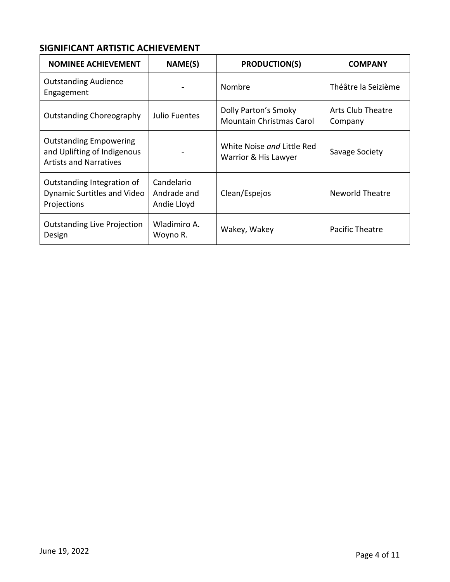#### **SIGNIFICANT ARTISTIC ACHIEVEMENT**

| <b>NOMINEE ACHIEVEMENT</b>                                                                    | NAME(S)                                  | <b>PRODUCTION(S)</b>                                    | <b>COMPANY</b>                      |
|-----------------------------------------------------------------------------------------------|------------------------------------------|---------------------------------------------------------|-------------------------------------|
| <b>Outstanding Audience</b><br>Engagement                                                     |                                          | <b>Nombre</b>                                           | Théâtre la Seizième                 |
| <b>Outstanding Choreography</b>                                                               | Julio Fuentes                            | Dolly Parton's Smoky<br><b>Mountain Christmas Carol</b> | <b>Arts Club Theatre</b><br>Company |
| <b>Outstanding Empowering</b><br>and Uplifting of Indigenous<br><b>Artists and Narratives</b> |                                          | White Noise and Little Red<br>Warrior & His Lawyer      | Savage Society                      |
| Outstanding Integration of<br>Dynamic Surtitles and Video<br>Projections                      | Candelario<br>Andrade and<br>Andie Lloyd | Clean/Espejos                                           | Neworld Theatre                     |
| <b>Outstanding Live Projection</b><br>Design                                                  | Wladimiro A.<br>Woyno R.                 | Wakey, Wakey                                            | Pacific Theatre                     |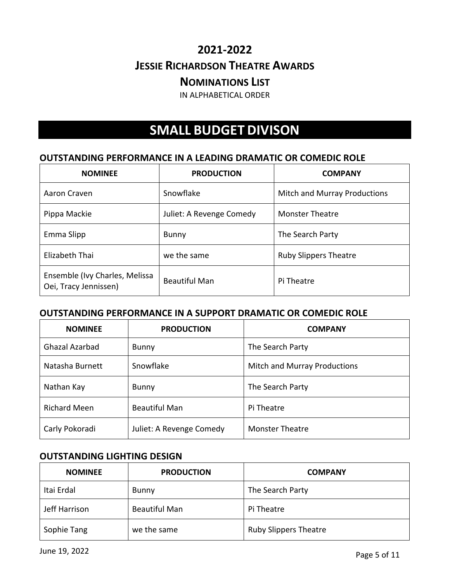IN ALPHABETICAL ORDER

# **SMALL BUDGET DIVISON**

#### **OUTSTANDING PERFORMANCE IN A LEADING DRAMATIC OR COMEDIC ROLE**

| <b>NOMINEE</b>                                          | <b>PRODUCTION</b>        | <b>COMPANY</b>               |
|---------------------------------------------------------|--------------------------|------------------------------|
| Aaron Craven                                            | Snowflake                | Mitch and Murray Productions |
| Pippa Mackie                                            | Juliet: A Revenge Comedy | <b>Monster Theatre</b>       |
| Emma Slipp                                              | Bunny                    | The Search Party             |
| Elizabeth Thai                                          | we the same              | <b>Ruby Slippers Theatre</b> |
| Ensemble (Ivy Charles, Melissa<br>Oei, Tracy Jennissen) | <b>Beautiful Man</b>     | Pi Theatre                   |

#### **OUTSTANDING PERFORMANCE IN A SUPPORT DRAMATIC OR COMEDIC ROLE**

| <b>NOMINEE</b>      | <b>PRODUCTION</b>        | <b>COMPANY</b>                      |  |
|---------------------|--------------------------|-------------------------------------|--|
| Ghazal Azarbad      | Bunny                    | The Search Party                    |  |
| Natasha Burnett     | Snowflake                | <b>Mitch and Murray Productions</b> |  |
| Nathan Kay          | <b>Bunny</b>             | The Search Party                    |  |
| <b>Richard Meen</b> | <b>Beautiful Man</b>     | Pi Theatre                          |  |
| Carly Pokoradi      | Juliet: A Revenge Comedy | <b>Monster Theatre</b>              |  |

#### **OUTSTANDING LIGHTING DESIGN**

| <b>NOMINEE</b> | <b>PRODUCTION</b>    | <b>COMPANY</b>               |
|----------------|----------------------|------------------------------|
| Itai Erdal     | <b>Bunny</b>         | The Search Party             |
| Jeff Harrison  | <b>Beautiful Man</b> | Pi Theatre                   |
| Sophie Tang    | we the same          | <b>Ruby Slippers Theatre</b> |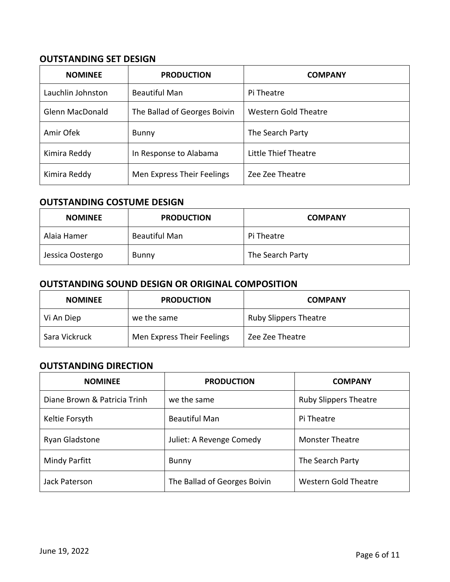#### **OUTSTANDING SET DESIGN**

| <b>NOMINEE</b>    | <b>PRODUCTION</b>            | <b>COMPANY</b>       |
|-------------------|------------------------------|----------------------|
| Lauchlin Johnston | <b>Beautiful Man</b>         | Pi Theatre           |
| Glenn MacDonald   | The Ballad of Georges Boivin | Western Gold Theatre |
| Amir Ofek         | <b>Bunny</b>                 | The Search Party     |
| Kimira Reddy      | In Response to Alabama       | Little Thief Theatre |
| Kimira Reddy      | Men Express Their Feelings   | Zee Zee Theatre      |

#### **OUTSTANDING COSTUME DESIGN**

| <b>NOMINEE</b>   | <b>PRODUCTION</b> | <b>COMPANY</b>   |
|------------------|-------------------|------------------|
| Alaia Hamer      | Beautiful Man     | Pi Theatre       |
| Jessica Oostergo | Bunny             | The Search Party |

#### **OUTSTANDING SOUND DESIGN OR ORIGINAL COMPOSITION**

| <b>NOMINEE</b> | <b>PRODUCTION</b>          | <b>COMPANY</b>               |  |
|----------------|----------------------------|------------------------------|--|
| Vi An Diep     | we the same                | <b>Ruby Slippers Theatre</b> |  |
| Sara Vickruck  | Men Express Their Feelings | Zee Zee Theatre              |  |

#### **OUTSTANDING DIRECTION**

| <b>NOMINEE</b>               | <b>PRODUCTION</b>            | <b>COMPANY</b>               |
|------------------------------|------------------------------|------------------------------|
| Diane Brown & Patricia Trinh | we the same                  | <b>Ruby Slippers Theatre</b> |
| Keltie Forsyth               | <b>Beautiful Man</b>         | Pi Theatre                   |
| <b>Ryan Gladstone</b>        | Juliet: A Revenge Comedy     | <b>Monster Theatre</b>       |
| <b>Mindy Parfitt</b>         | Bunny                        | The Search Party             |
| Jack Paterson                | The Ballad of Georges Boivin | <b>Western Gold Theatre</b>  |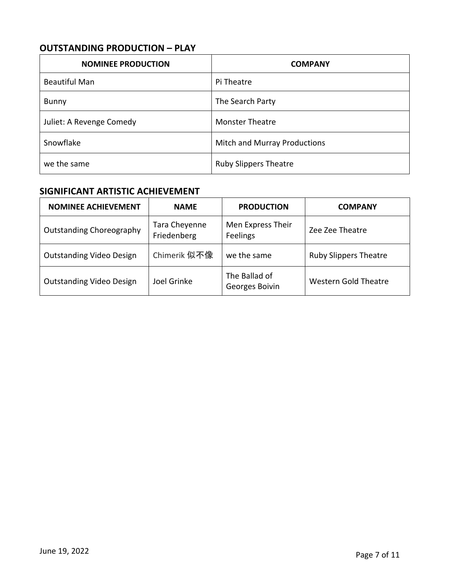#### **OUTSTANDING PRODUCTION – PLAY**

| <b>NOMINEE PRODUCTION</b> | <b>COMPANY</b>                      |
|---------------------------|-------------------------------------|
| <b>Beautiful Man</b>      | Pi Theatre                          |
| <b>Bunny</b>              | The Search Party                    |
| Juliet: A Revenge Comedy  | <b>Monster Theatre</b>              |
| Snowflake                 | <b>Mitch and Murray Productions</b> |
| we the same               | <b>Ruby Slippers Theatre</b>        |

#### **SIGNIFICANT ARTISTIC ACHIEVEMENT**

| <b>NOMINEE ACHIEVEMENT</b>      | <b>NAME</b>                  | <b>PRODUCTION</b>               | <b>COMPANY</b>               |
|---------------------------------|------------------------------|---------------------------------|------------------------------|
| <b>Outstanding Choreography</b> | Tara Cheyenne<br>Friedenberg | Men Express Their<br>Feelings   | Zee Zee Theatre              |
| <b>Outstanding Video Design</b> | Chimerik 似不像                 | we the same                     | <b>Ruby Slippers Theatre</b> |
| <b>Outstanding Video Design</b> | Joel Grinke                  | The Ballad of<br>Georges Boivin | <b>Western Gold Theatre</b>  |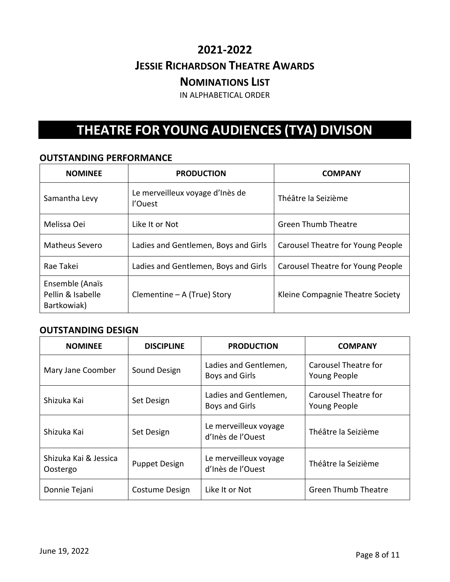IN ALPHABETICAL ORDER

# **THEATRE FOR YOUNG AUDIENCES (TYA) DIVISON**

#### **OUTSTANDING PERFORMANCE**

| <b>NOMINEE</b>                                      | <b>PRODUCTION</b>                          | <b>COMPANY</b>                    |
|-----------------------------------------------------|--------------------------------------------|-----------------------------------|
| Samantha Levy                                       | Le merveilleux voyage d'Inès de<br>l'Ouest | Théâtre la Seizième               |
| Melissa Oei                                         | Like It or Not                             | <b>Green Thumb Theatre</b>        |
| <b>Matheus Severo</b>                               | Ladies and Gentlemen, Boys and Girls       | Carousel Theatre for Young People |
| Rae Takei                                           | Ladies and Gentlemen, Boys and Girls       | Carousel Theatre for Young People |
| Ensemble (Anaïs<br>Pellin & Isabelle<br>Bartkowiak) | Clementine - A (True) Story                | Kleine Compagnie Theatre Society  |

#### **OUTSTANDING DESIGN**

| <b>NOMINEE</b>                    | <b>DISCIPLINE</b>    | <b>PRODUCTION</b>                              | <b>COMPANY</b>                       |
|-----------------------------------|----------------------|------------------------------------------------|--------------------------------------|
| Mary Jane Coomber                 | Sound Design         | Ladies and Gentlemen,<br><b>Boys and Girls</b> | Carousel Theatre for<br>Young People |
| Shizuka Kai                       | Set Design           | Ladies and Gentlemen,<br><b>Boys and Girls</b> | Carousel Theatre for<br>Young People |
| Shizuka Kai                       | Set Design           | Le merveilleux voyage<br>d'Inès de l'Ouest     | Théâtre la Seizième                  |
| Shizuka Kai & Jessica<br>Oostergo | <b>Puppet Design</b> | Le merveilleux voyage<br>d'Inès de l'Ouest     | Théâtre la Seizième                  |
| Donnie Tejani                     | Costume Design       | Like It or Not                                 | <b>Green Thumb Theatre</b>           |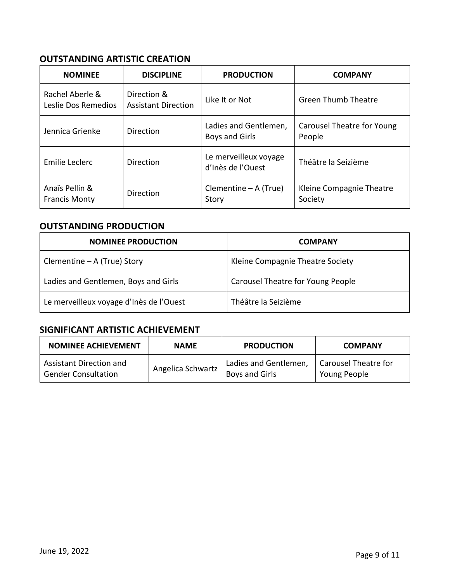#### **OUTSTANDING ARTISTIC CREATION**

| <b>NOMINEE</b>                         | <b>DISCIPLINE</b>                         | <b>PRODUCTION</b>                              | <b>COMPANY</b>                       |
|----------------------------------------|-------------------------------------------|------------------------------------------------|--------------------------------------|
| Rachel Aberle &<br>Leslie Dos Remedios | Direction &<br><b>Assistant Direction</b> | Like It or Not                                 | <b>Green Thumb Theatre</b>           |
| Jennica Grienke                        | Direction                                 | Ladies and Gentlemen,<br><b>Boys and Girls</b> | Carousel Theatre for Young<br>People |
| Emilie Leclerc                         | <b>Direction</b>                          | Le merveilleux voyage<br>d'Inès de l'Ouest     | Théâtre la Seizième                  |
| Anaïs Pellin &<br><b>Francis Monty</b> | Direction                                 | Clementine - A (True)<br>Story                 | Kleine Compagnie Theatre<br>Society  |

#### **OUTSTANDING PRODUCTION**

| <b>NOMINEE PRODUCTION</b>               | <b>COMPANY</b>                    |
|-----------------------------------------|-----------------------------------|
| Clementine $-$ A (True) Story           | Kleine Compagnie Theatre Society  |
| Ladies and Gentlemen, Boys and Girls    | Carousel Theatre for Young People |
| Le merveilleux voyage d'Inès de l'Ouest | Théâtre la Seizième               |

#### **SIGNIFICANT ARTISTIC ACHIEVEMENT**

| <b>NOMINEE ACHIEVEMENT</b> | <b>NAME</b>       | <b>PRODUCTION</b>     | <b>COMPANY</b>       |
|----------------------------|-------------------|-----------------------|----------------------|
| Assistant Direction and    | Angelica Schwartz | Ladies and Gentlemen, | Carousel Theatre for |
| <b>Gender Consultation</b> |                   | Boys and Girls        | Young People         |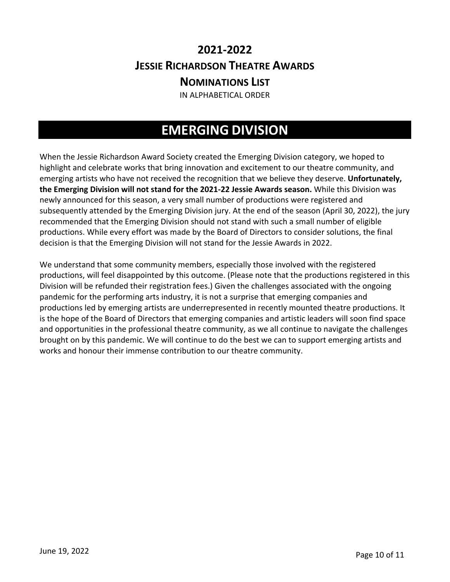### **2021-2022 JESSIE RICHARDSON THEATRE AWARDS NOMINATIONS LIST** IN ALPHABETICAL ORDER

### **EMERGING DIVISION**

When the Jessie Richardson Award Society created the Emerging Division category, we hoped to highlight and celebrate works that bring innovation and excitement to our theatre community, and emerging artists who have not received the recognition that we believe they deserve. **Unfortunately, the Emerging Division will not stand for the 2021-22 Jessie Awards season.** While this Division was newly announced for this season, a very small number of productions were registered and subsequently attended by the Emerging Division jury. At the end of the season (April 30, 2022), the jury recommended that the Emerging Division should not stand with such a small number of eligible productions. While every effort was made by the Board of Directors to consider solutions, the final decision is that the Emerging Division will not stand for the Jessie Awards in 2022.

We understand that some community members, especially those involved with the registered productions, will feel disappointed by this outcome. (Please note that the productions registered in this Division will be refunded their registration fees.) Given the challenges associated with the ongoing pandemic for the performing arts industry, it is not a surprise that emerging companies and productions led by emerging artists are underrepresented in recently mounted theatre productions. It is the hope of the Board of Directors that emerging companies and artistic leaders will soon find space and opportunities in the professional theatre community, as we all continue to navigate the challenges brought on by this pandemic. We will continue to do the best we can to support emerging artists and works and honour their immense contribution to our theatre community.